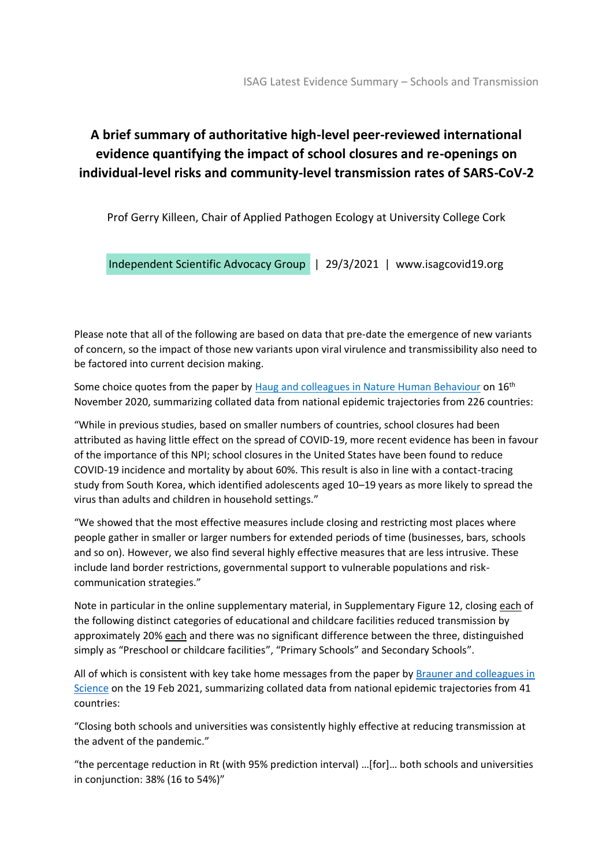## **A brief summary of authoritative high-level peer-reviewed international evidence quantifying the impact of school closures and re-openings on individual-level risks and community-level transmission rates of SARS-CoV-2**

Prof Gerry Killeen, Chair of Applied Pathogen Ecology at University College Cork

Independent Scientific Advocacy Group | 29/3/2021 | www.isagcovid19.org

Please note that all of the following are based on data that pre-date the emergence of new variants of concern, so the impact of those new variants upon viral virulence and transmissibility also need to be factored into current decision making.

Some choice quotes from the paper by [Haug and colleagues in Nature Human Behaviour](https://www.nature.com/articles/s41562-020-01009-0) on 16<sup>th</sup> November 2020, summarizing collated data from national epidemic trajectories from 226 countries:

"While in previous studies, based on smaller numbers of countries, school closures had been attributed as having little effect on the spread of COVID-19, more recent evidence has been in favour of the importance of this NPI; school closures in the United States have been found to reduce COVID-19 incidence and mortality by about 60%. This result is also in line with a contact-tracing study from South Korea, which identified adolescents aged 10–19 years as more likely to spread the virus than adults and children in household settings."

"We showed that the most effective measures include closing and restricting most places where people gather in smaller or larger numbers for extended periods of time (businesses, bars, schools and so on). However, we also find several highly effective measures that are less intrusive. These include land border restrictions, governmental support to vulnerable populations and riskcommunication strategies."

Note in particular in the online supplementary material, in Supplementary Figure 12, closing each of the following distinct categories of educational and childcare facilities reduced transmission by approximately 20% each and there was no significant difference between the three, distinguished simply as "Preschool or childcare facilities", "Primary Schools" and Secondary Schools".

All of which is consistent with key take home messages from the paper by Brauner and colleagues in [Science](https://science.sciencemag.org/content/371/6531/eabd9338) on the 19 Feb 2021, summarizing collated data from national epidemic trajectories from 41 countries:

"Closing both schools and universities was consistently highly effective at reducing transmission at the advent of the pandemic."

"the percentage reduction in Rt (with 95% prediction interval) …[for]… both schools and universities in conjunction: 38% (16 to 54%)"